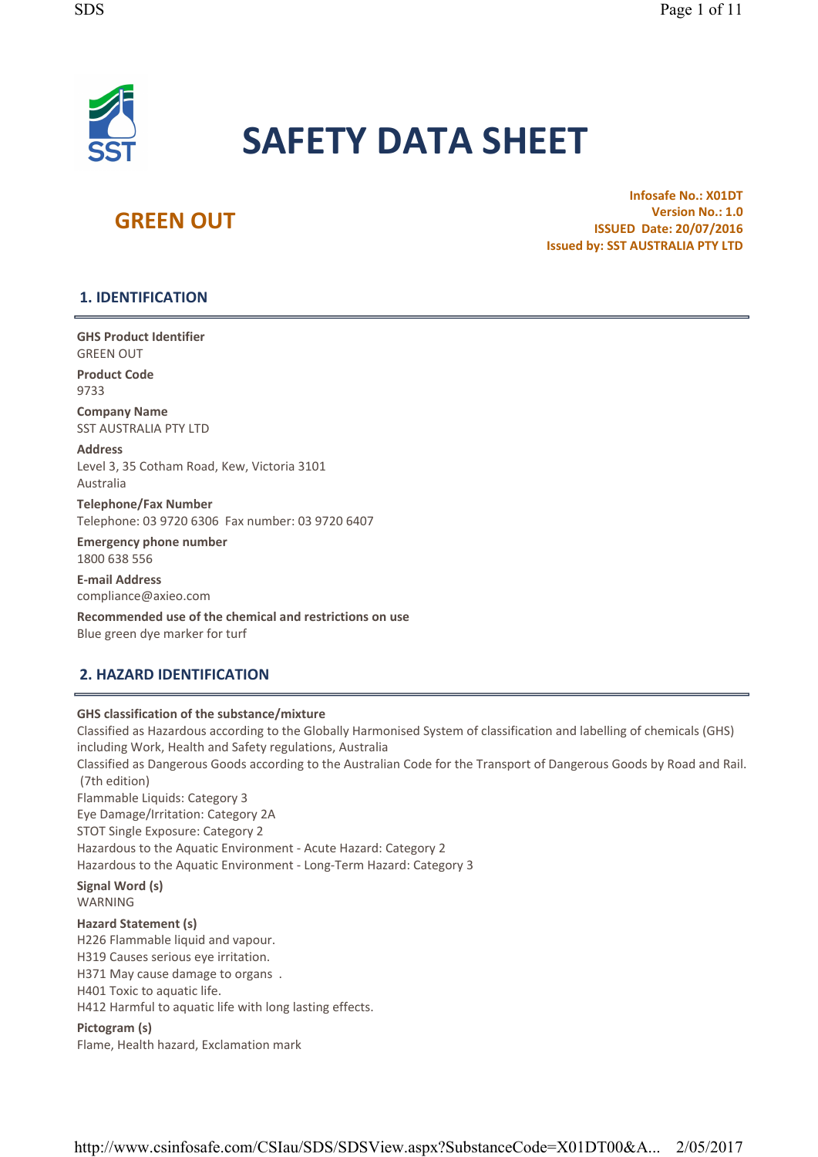

# SAFETY DATA SHEET

# **GREEN OUT**

Infosafe No.: X01DT Version No.: 1.0 ISSUED Date: 20/07/2016 Issued by: SST AUSTRALIA PTY LTD

### 1. IDENTIFICATION

GHS Product Identifier GREEN OUT

Product Code 9733

Company Name SST AUSTRALIA PTY LTD

Address Level 3, 35 Cotham Road, Kew, Victoria 3101 Australia

Telephone/Fax Number Telephone: 03 9720 6306 Fax number: 03 9720 6407

Emergency phone number 1800 638 556

E- mail Address compliance@axieo. com

Recommended use of the chemical and restrictions on use Blue green dye marker for turf

### 2. HAZARD IDENTIFICATION

### GHS classification of the substance/mixture

Classified as Hazardous according to the Globally Harmonised System of classification and labelling of chemicals (GHS) including Work, Health and Safety regulations, Australia Classified as Dangerous Goods according to the Australian Code for the Transport of Dangerous Goods by Road and Rail. (7th edition) Flammable Liquids: Category 3 Eye Damage/Irritation: Category 2A STOT Single Exposure: Category 2 Hazardous to the Aquatic Environment - Acute Hazard: Category 2 Hazardous to the Aquatic Environment - Long-Term Hazard: Category 3 Signal Word (s) WARNING Hazard Statement (s) H226 Flammable liquid and vapour. H319 Causes serious eye irritation. H371 May cause damage to organs . H401 Toxic to aquatic life. H412 Harmful to aquatic life with long lasting effects. Pictogram (s)

Flame, Health hazard, Exclamation mark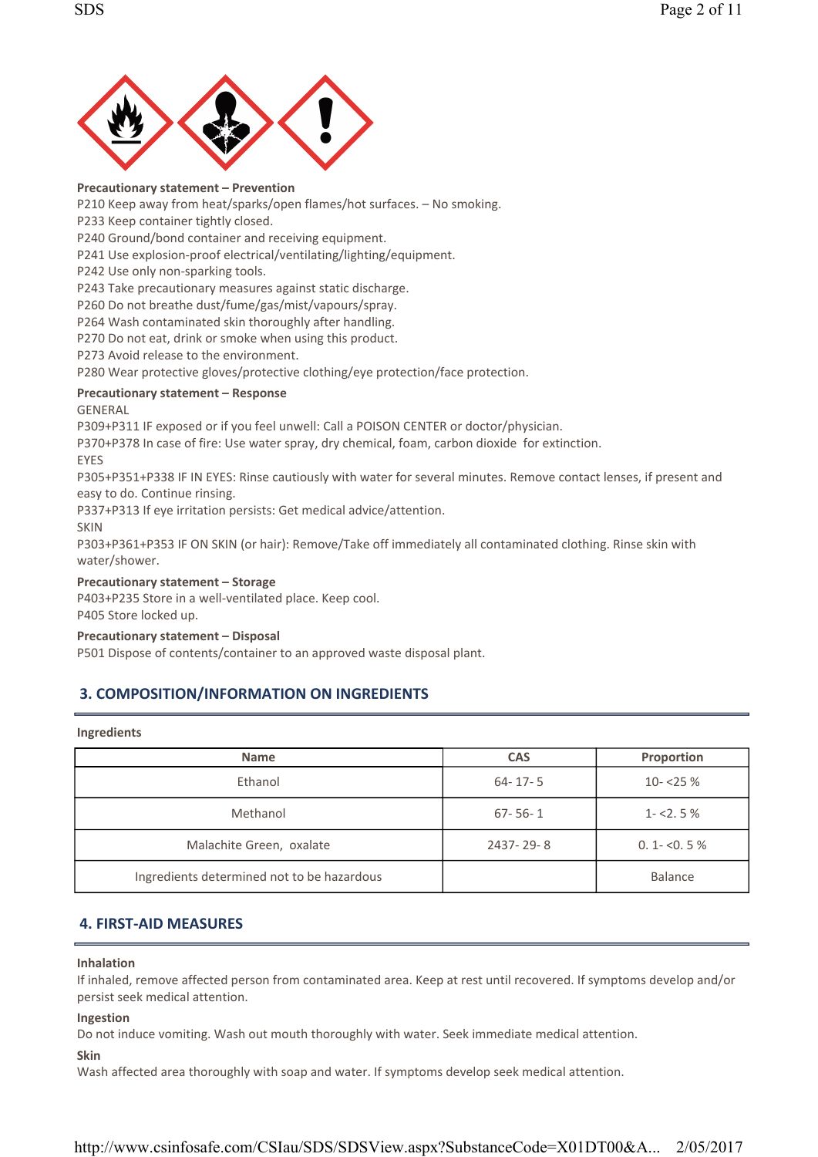

#### Precautionary statement – Prevention

P210 Keep away from heat/sparks/open flames/hot surfaces. - No smoking.

P233 Keep container tightly closed.

P240 Ground/bond container and receiving equipment.

P241 Use explosion-proof electrical/ventilating/lighting/equipment.

P242 Use only non-sparking tools.

P243 Take precautionary measures against static discharge.

P260 Do not breathe dust/fume/gas/mist/vapours/spray.

P264 Wash contaminated skin thoroughly after handling.

P270 Do not eat, drink or smoke when using this product.

P273 Avoid release to the environment.

P280 Wear protective gloves/protective clothing/eye protection/face protection.

### Precautionary statement – Response

### GENERAL

P309+P311 IF exposed or if you feel unwell: Call a POISON CENTER or doctor/physician.

P370+P378 In case of fire: Use water spray, dry chemical, foam, carbon dioxide for extinction.

### EYES

P305+P351+P338 IF IN EYES: Rinse cautiously with water for several minutes. Remove contact lenses, if present and easy to do. Continue rinsing.

P337+P313 If eye irritation persists: Get medical advice/attention.

SKIN

P303+P361+P353 IF ON SKIN (or hair): Remove/Take off immediately all contaminated clothing. Rinse skin with water/shower.

### Precautionary statement – Storage

P403+P235 Store in a well-ventilated place. Keep cool.

P405 Store locked up.

### Precautionary statement – Disposal

P501 Dispose of contents/container to an approved waste disposal plant.

### 3. COMPOSITION/INFORMATION ON INGREDIENTS

#### Ingredients

| <b>Name</b>                                | <b>CAS</b>    | Proportion     |
|--------------------------------------------|---------------|----------------|
| Ethanol                                    | $64 - 17 - 5$ | $10 - 25%$     |
| Methanol                                   | $67 - 56 - 1$ | $1 - 2.5%$     |
| Malachite Green, oxalate                   | 2437-29-8     | $0.1 - 0.5\%$  |
| Ingredients determined not to be hazardous |               | <b>Balance</b> |

### 4. FIRST- AID MEASURES

### Inhalation

If inhaled, remove affected person from contaminated area. Keep at rest until recovered. If symptoms develop and/or persist seek medical attention.

#### Ingestion

Do not induce vomiting. Wash out mouth thoroughly with water. Seek immediate medical attention.

#### Skin

Wash affected area thoroughly with soap and water. If symptoms develop seek medical attention.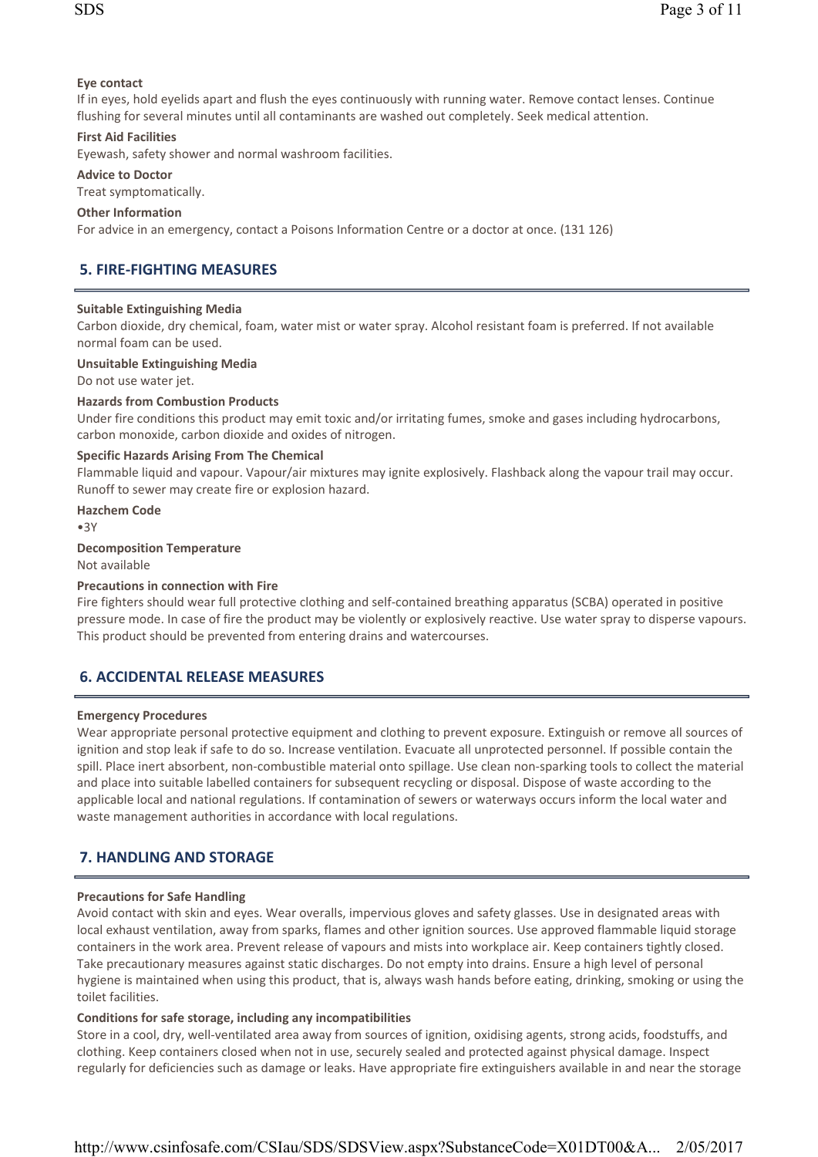### Eye contact

If in eyes, hold eyelids apart and flush the eyes continuously with running water. Remove contact lenses. Continue flushing for several minutes until all contaminants are washed out completely. Seek medical attention.

### **First Aid Facilities**

Eyewash, safety shower and normal washroom facilities.

### Advice to Doctor

Treat symptomatically.

### Other Information

For advice in an emergency, contact a Poisons Information Centre or a doctor at once. (131 126)

### **5. FIRE-FIGHTING MEASURES**

### Suitable Extinguishing Media

Carbon dioxide, dry chemical, foam, water mist or water spray. Alcohol resistant foam is preferred. If not available normal foam can be used.

### Unsuitable Extinguishing Media

Do not use water jet.

### Hazards from Combustion Products

Under fire conditions this product may emit toxic and/or irritating fumes, smoke and gases including hydrocarbons, carbon monoxide, carbon dioxide and oxides of nitrogen.

### Specific Hazards Arising From The Chemical

Flammable liquid and vapour. Vapour/air mixtures may ignite explosively. Flashback along the vapour trail may occur. Runoff to sewer may create fire or explosion hazard.

Hazchem Code

•3Y

### Decomposition Temperature

Not available

### Precautions in connection with Fire

Fire fighters should wear full protective clothing and self-contained breathing apparatus (SCBA) operated in positive pressure mode. In case of fire the product may be violently or explosively reactive. Use water spray to disperse vapours. This product should be prevented from entering drains and watercourses.

### 6. ACCIDENTAL RELEASE MEASURES

### Emergency Procedures

Wear appropriate personal protective equipment and clothing to prevent exposure. Extinguish or remove all sources of ignition and stop leak if safe to do so. Increase ventilation. Evacuate all unprotected personnel. If possible contain the spill. Place inert absorbent, non-combustible material onto spillage. Use clean non-sparking tools to collect the material and place into suitable labelled containers for subsequent recycling or disposal. Dispose of waste according to the applicable local and national regulations. If contamination of sewers or waterways occurs inform the local water and waste management authorities in accordance with local regulations.

### 7. HANDLING AND STORAGE

### Precautions for Safe Handling

Avoid contact with skin and eyes. Wear overalls, impervious gloves and safety glasses. Use in designated areas with local exhaust ventilation, away from sparks, flames and other ignition sources. Use approved flammable liquid storage containers in the work area. Prevent release of vapours and mists into workplace air. Keep containers tightly closed. Take precautionary measures against static discharges. Do not empty into drains. Ensure a high level of personal hygiene is maintained when using this product, that is, always wash hands before eating, drinking, smoking or using the toilet facilities.

### Conditions for safe storage, including any incompatibilities

Store in a cool, dry, well-ventilated area away from sources of ignition, oxidising agents, strong acids, foodstuffs, and clothing. Keep containers closed when not in use, securely sealed and protected against physical damage. Inspect regularly for deficiencies such as damage or leaks. Have appropriate fire extinguishers available in and near the storage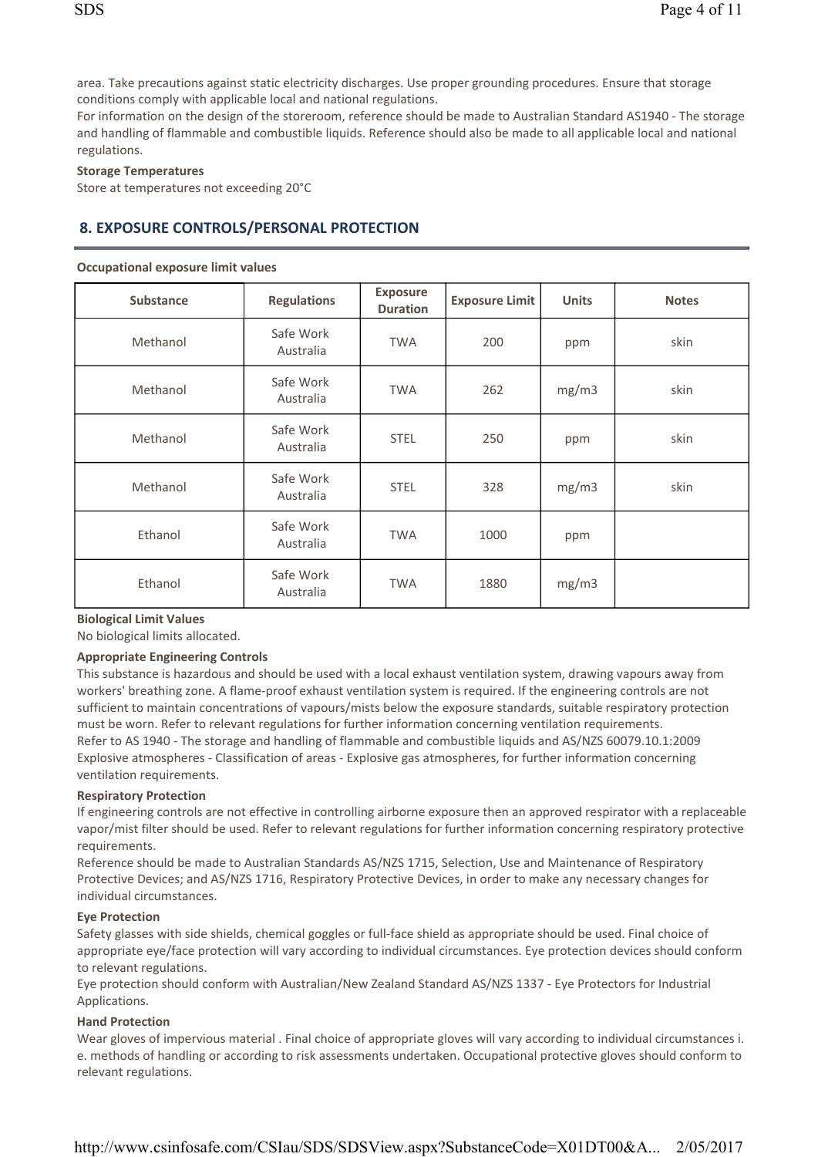area. Take precautions against static electricity discharges. Use proper grounding procedures. Ensure that storage conditions comply with applicable local and national regulations.

For information on the design of the storeroom, reference should be made to Australian Standard AS1940 - The storage and handling of flammable and combustible liquids. Reference should also be made to all applicable local and national regulations.

#### Storage Temperatures

Store at temperatures not exceeding 20°C

### 8. EXPOSURE CONTROLS/PERSONAL PROTECTION

#### Occupational exposure limit values

| <b>Substance</b> | <b>Regulations</b>     | <b>Exposure</b><br><b>Duration</b> | <b>Exposure Limit</b> | <b>Units</b> | <b>Notes</b> |
|------------------|------------------------|------------------------------------|-----------------------|--------------|--------------|
| Methanol         | Safe Work<br>Australia | <b>TWA</b>                         | 200                   | ppm          | skin         |
| Methanol         | Safe Work<br>Australia | <b>TWA</b>                         | 262                   | mg/m3        | skin         |
| Methanol         | Safe Work<br>Australia | <b>STEL</b>                        | 250                   | ppm          | skin         |
| Methanol         | Safe Work<br>Australia | <b>STEL</b>                        | 328                   | mg/m3        | skin         |
| Ethanol          | Safe Work<br>Australia | <b>TWA</b>                         | 1000                  | ppm          |              |
| Ethanol          | Safe Work<br>Australia | <b>TWA</b>                         | 1880                  | mg/m3        |              |

#### Biological Limit Values

No biological limits allocated.

### Appropriate Engineering Controls

This substance is hazardous and should be used with a local exhaust ventilation system, drawing vapours away from workers' breathing zone. A flame-proof exhaust ventilation system is required. If the engineering controls are not sufficient to maintain concentrations of vapours/mists below the exposure standards, suitable respiratory protection must be worn. Refer to relevant regulations for further information concerning ventilation requirements. Refer to AS 1940 - The storage and handling of flammable and combustible liquids and AS/NZS 60079.10.1:2009 Explosive atmospheres - Classification of areas - Explosive gas atmospheres, for further information concerning ventilation requirements.

### Respiratory Protection

If engineering controls are not effective in controlling airborne exposure then an approved respirator with a replaceable vapor/mist filter should be used. Refer to relevant regulations for further information concerning respiratory protective requirements.

Reference should be made to Australian Standards AS/NZS 1715, Selection, Use and Maintenance of Respiratory Protective Devices; and AS/NZS 1716, Respiratory Protective Devices, in order to make any necessary changes for individual circumstances.

### Eye Protection

Safety glasses with side shields, chemical goggles or full-face shield as appropriate should be used. Final choice of appropriate eye/face protection will vary according to individual circumstances. Eye protection devices should conform to relevant regulations.

Eye protection should conform with Australian/New Zealand Standard AS/NZS 1337 - Eye Protectors for Industrial Applications.

### Hand Protection

Wear gloves of impervious material . Final choice of appropriate gloves will vary according to individual circumstances i. e. methods of handling or according to risk assessments undertaken. Occupational protective gloves should conform to relevant regulations.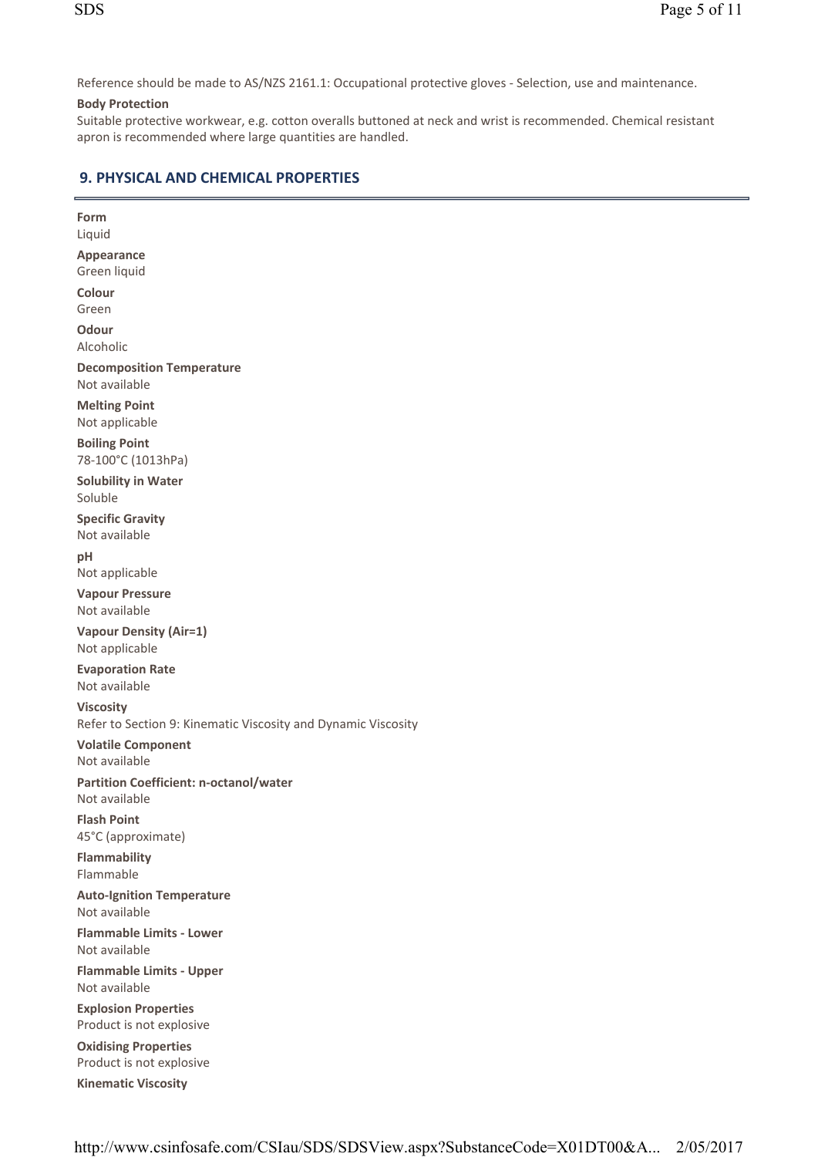Reference should be made to AS/NZS 2161.1: Occupational protective gloves - Selection, use and maintenance.

### Body Protection

Suitable protective workwear, e.g. cotton overalls buttoned at neck and wrist is recommended. Chemical resistant apron is recommended where large quantities are handled.

# 9. PHYSICAL AND CHEMICAL PROPERTIES

| Form                                                                              |
|-----------------------------------------------------------------------------------|
| Liquid                                                                            |
| <b>Appearance</b><br>Green liquid                                                 |
| Colour                                                                            |
| Green                                                                             |
| Odour                                                                             |
| Alcoholic                                                                         |
| <b>Decomposition Temperature</b><br>Not available                                 |
| <b>Melting Point</b><br>Not applicable                                            |
| <b>Boiling Point</b><br>78-100°C (1013hPa)                                        |
| <b>Solubility in Water</b><br>Soluble                                             |
| <b>Specific Gravity</b><br>Not available                                          |
| pH<br>Not applicable                                                              |
| <b>Vapour Pressure</b><br>Not available                                           |
| <b>Vapour Density (Air=1)</b><br>Not applicable                                   |
| <b>Evaporation Rate</b><br>Not available                                          |
| <b>Viscosity</b><br>Refer to Section 9: Kinematic Viscosity and Dynamic Viscosity |
|                                                                                   |
| <b>Volatile Component</b><br>Not available                                        |
| <b>Partition Coefficient: n-octanol/water</b><br>Not available                    |
| <b>Flash Point</b><br>45°C (approximate)                                          |
| Flammability<br>Flammable                                                         |
| <b>Auto-Ignition Temperature</b><br>Not available                                 |
| <b>Flammable Limits - Lower</b><br>Not available                                  |
| <b>Flammable Limits - Upper</b><br>Not available                                  |
| <b>Explosion Properties</b><br>Product is not explosive                           |
| <b>Oxidising Properties</b><br>Product is not explosive                           |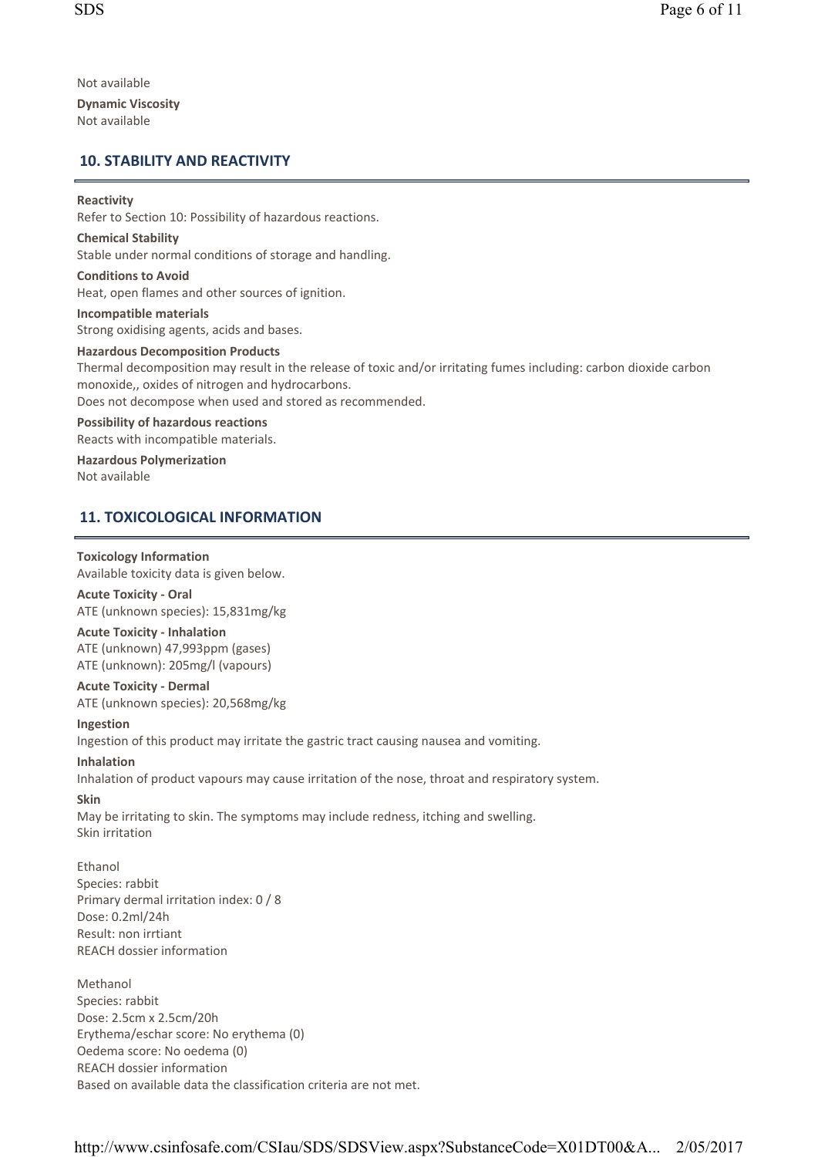Not available Dynamic Viscosity Not available

### 10. STABILITY AND REACTIVITY

### Reactivity

Refer to Section 10: Possibility of hazardous reactions.

Chemical Stability Stable under normal conditions of storage and handling.

Conditions to Avoid Heat, open flames and other sources of ignition.

Incompatible materials Strong oxidising agents, acids and bases.

Hazardous Decomposition Products Thermal decomposition may result in the release of toxic and/or irritating fumes including: carbon dioxide carbon monoxide, , oxides of nitrogen and hydrocarbons. Does not decompose when used and stored as recommended. Possibility of hazardous reactions

Reacts with incompatible materials.

Hazardous Polymerization Not available

### 11. TOXICOLOGICAL INFORMATION

### Toxicology Information

Available toxicity data is given below.

**Acute Toxicity - Oral** ATE (unknown species): 15, 831mg/kg

**Acute Toxicity - Inhalation** 

ATE (unknown) 47,993ppm (gases) ATE (unknown): 205mg/l (vapours)

**Acute Toxicity - Dermal** ATE (unknown species): 20, 568mg/kg

### Ingestion

Ingestion of this product may irritate the gastric tract causing nausea and vomiting.

### Inhalation

Inhalation of product vapours may cause irritation of the nose, throat and respiratory system.

### Skin

May be irritating to skin. The symptoms may include redness, itching and swelling. Skin irritation

Ethanol Species: rabbit Primary dermal irritation index: 0 / 8 Dose: 0. 2ml/24h Result: non irrtiant REACH dossier information

Methanol Species: rabbit Dose: 2. 5cm x 2. 5cm/20h Erythema/eschar score: No erythema (0) Oedema score: No oedema (0) REACH dossier information Based on available data the classification criteria are not met.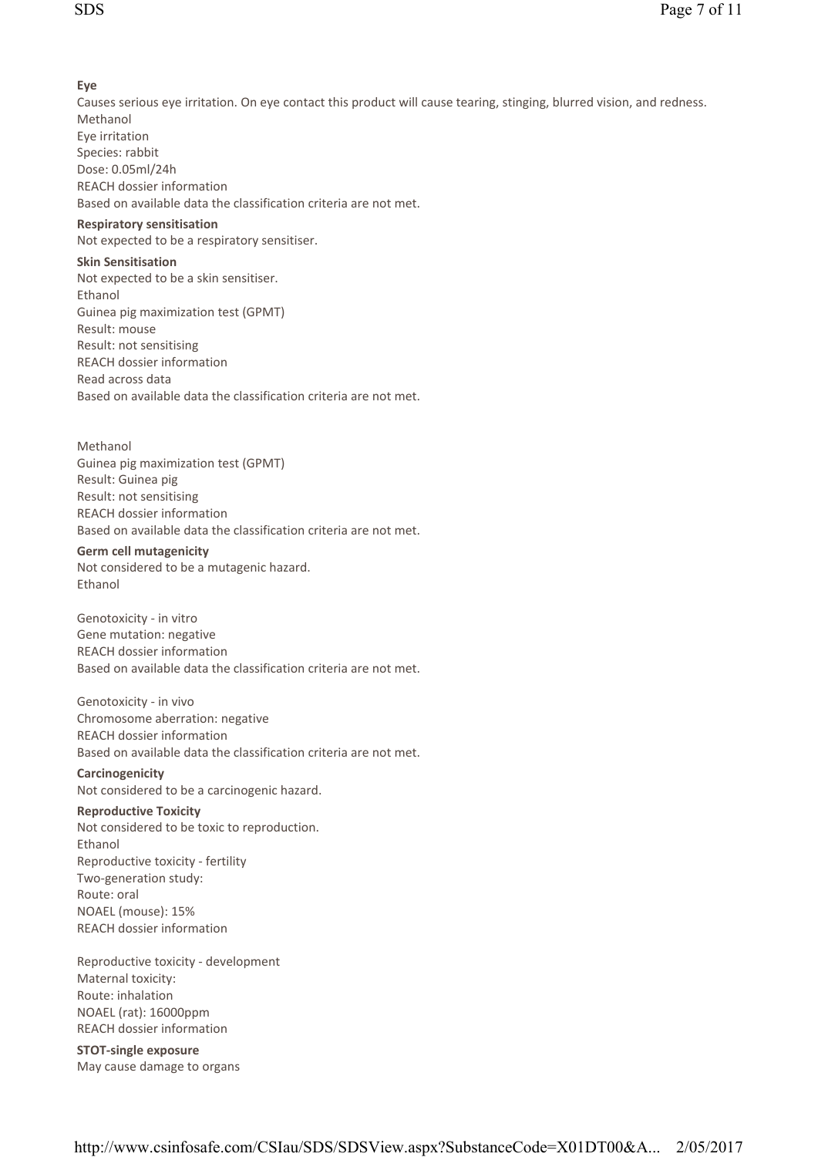### Eye

Causes serious eye irritation. On eye contact this product will cause tearing, stinging, blurred vision, and redness. Methanol Eye irritation Species: rabbit Dose: 0. 05ml/24h REACH dossier information Based on available data the classification criteria are not met.

### Respiratory sensitisation

Not expected to be a respiratory sensitiser.

### Skin Sensitisation

Not expected to be a skin sensitiser. Ethanol Guinea pig maximization test (GPMT) Result: mouse Result: not sensitising REACH dossier information Read across data Based on available data the classification criteria are not met.

#### Methanol

Guinea pig maximization test (GPMT) Result: Guinea pig Result: not sensitising REACH dossier information Based on available data the classification criteria are not met.

#### Germ cell mutagenicity

Not considered to be a mutagenic hazard. Ethanol

Genotoxicity - in vitro Gene mutation: negative REACH dossier information Based on available data the classification criteria are not met.

Genotoxicity - in vivo Chromosome aberration: negative REACH dossier information Based on available data the classification criteria are not met.

**Carcinogenicity** Not considered to be a carcinogenic hazard.

### Reproductive Toxicity

Not considered to be toxic to reproduction. Ethanol Reproductive toxicity - fertility Two-generation study: Route: oral NOAEL (mouse): 15% REACH dossier information

Reproductive toxicity - development Maternal toxicity: Route: inhalation NOAEL (rat): 16000ppm REACH dossier information

STOT-single exposure May cause damage to organs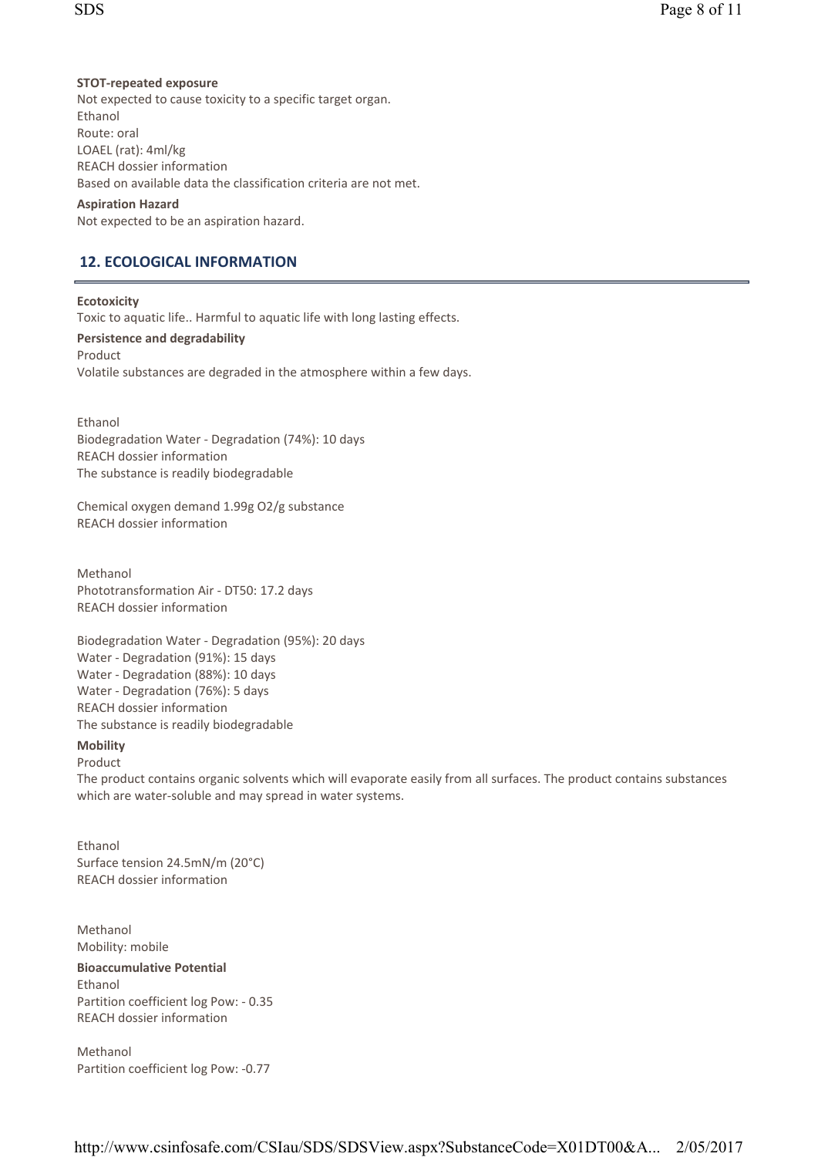### STOT-repeated exposure

Not expected to cause toxicity to a specific target organ. Ethanol Route: oral LOAEL (rat): 4ml/kg REACH dossier information Based on available data the classification criteria are not met.

### Aspiration Hazard

Not expected to be an aspiration hazard.

### 12. ECOLOGICAL INFORMATION

### **Ecotoxicity**

Toxic to aquatic life.. Harmful to aquatic life with long lasting effects.

### Persistence and degradability

Product Volatile substances are degraded in the atmosphere within a few days.

Ethanol Biodegradation Water - Degradation (74%): 10 days REACH dossier information The substance is readily biodegradable

Chemical oxygen demand 1. 99g O2/g substance REACH dossier information

Methanol Phototransformation Air - DT50: 17.2 days REACH dossier information

Biodegradation Water - Degradation (95%): 20 days Water - Degradation (91%): 15 days Water - Degradation (88%): 10 days Water - Degradation (76%): 5 days REACH dossier information The substance is readily biodegradable

### Mobility

### Product

The product contains organic solvents which will evaporate easily from all surfaces. The product contains substances which are water-soluble and may spread in water systems.

Ethanol Surface tension 24. 5mN/m (20°C) REACH dossier information

Methanol Mobility: mobile Bioaccumulative Potential Ethanol Partition coefficient log Pow: - 0.35 REACH dossier information

Methanol Partition coefficient log Pow: -0.77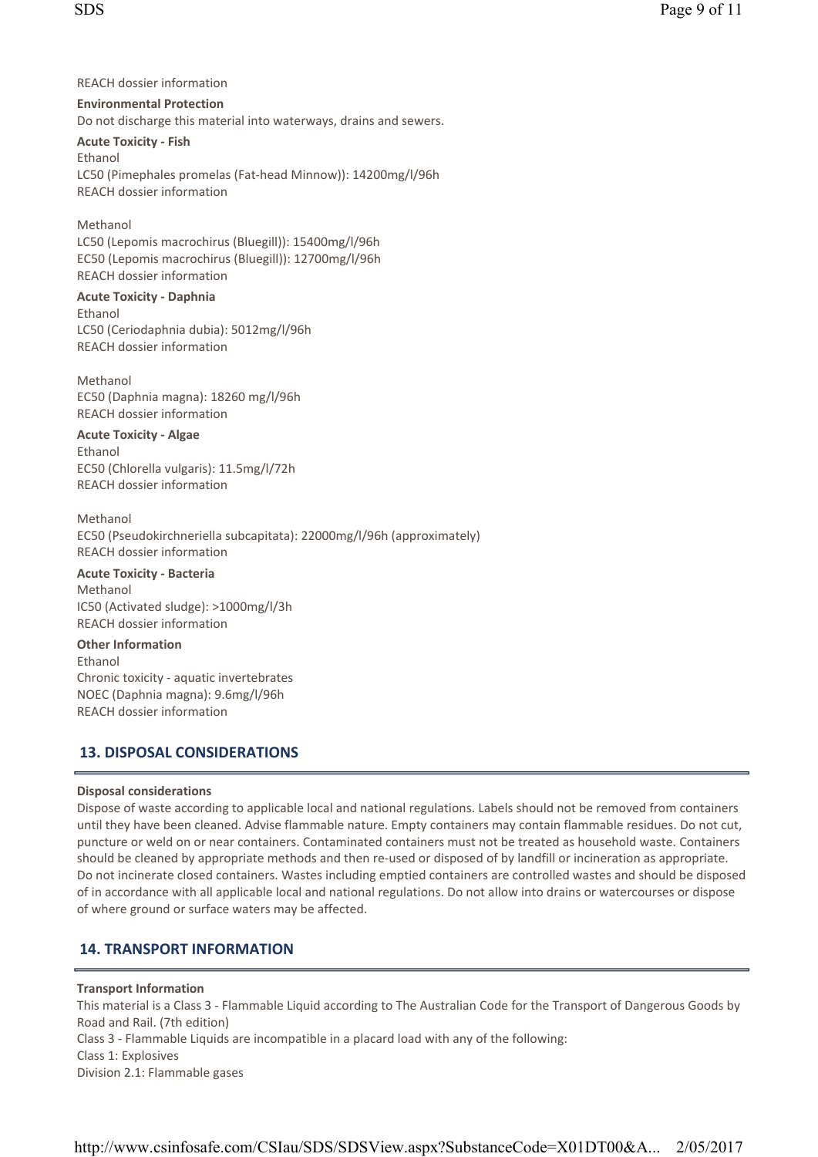REACH dossier information

Environmental Protection Do not discharge this material into waterways, drains and sewers.

**Acute Toxicity - Fish** Ethanol LC50 (Pimephales promelas (Fat- head Minnow)): 14200mg/l/96h REACH dossier information

**Methanol** LC50 (Lepomis macrochirus (Bluegill)): 15400mg/l/96h EC50 (Lepomis macrochirus (Bluegill)): 12700mg/l/96h REACH dossier information

### Acute Toxicity - Daphnia Ethanol LC50 (Ceriodaphnia dubia): 5012mg/l/96h REACH dossier information

Methanol EC50 (Daphnia magna): 18260 mg/l/96h REACH dossier information

**Acute Toxicity - Algae** Ethanol EC50 (Chlorella vulgaris): 11. 5mg/l/72h REACH dossier information

Methanol EC50 (Pseudokirchneriella subcapitata): 22000mg/l/96h (approximately) REACH dossier information

Acute Toxicity - Bacteria

Methanol IC50 (Activated sludge): >1000mg/l/3h REACH dossier information

Other Information Ethanol Chronic toxicity - aquatic invertebrates NOEC (Daphnia magna): 9. 6mg/l/96h REACH dossier information

# 13. DISPOSAL CONSIDERATIONS

### Disposal considerations

Dispose of waste according to applicable local and national regulations. Labels should not be removed from containers until they have been cleaned. Advise flammable nature. Empty containers may contain flammable residues. Do not cut, puncture or weld on or near containers. Contaminated containers must not be treated as household waste. Containers should be cleaned by appropriate methods and then re- used or disposed of by landfill or incineration as appropriate. Do not incinerate closed containers. Wastes including emptied containers are controlled wastes and should be disposed of in accordance with all applicable local and national regulations. Do not allow into drains or watercourses or dispose of where ground or surface waters may be affected.

# 14. TRANSPORT INFORMATION

## Transport Information

This material is a Class 3 - Flammable Liquid according to The Australian Code for the Transport of Dangerous Goods by Road and Rail. (7th edition) Class 3 - Flammable Liquids are incompatible in a placard load with any of the following:

Class 1: Explosives

Division 2.1: Flammable gases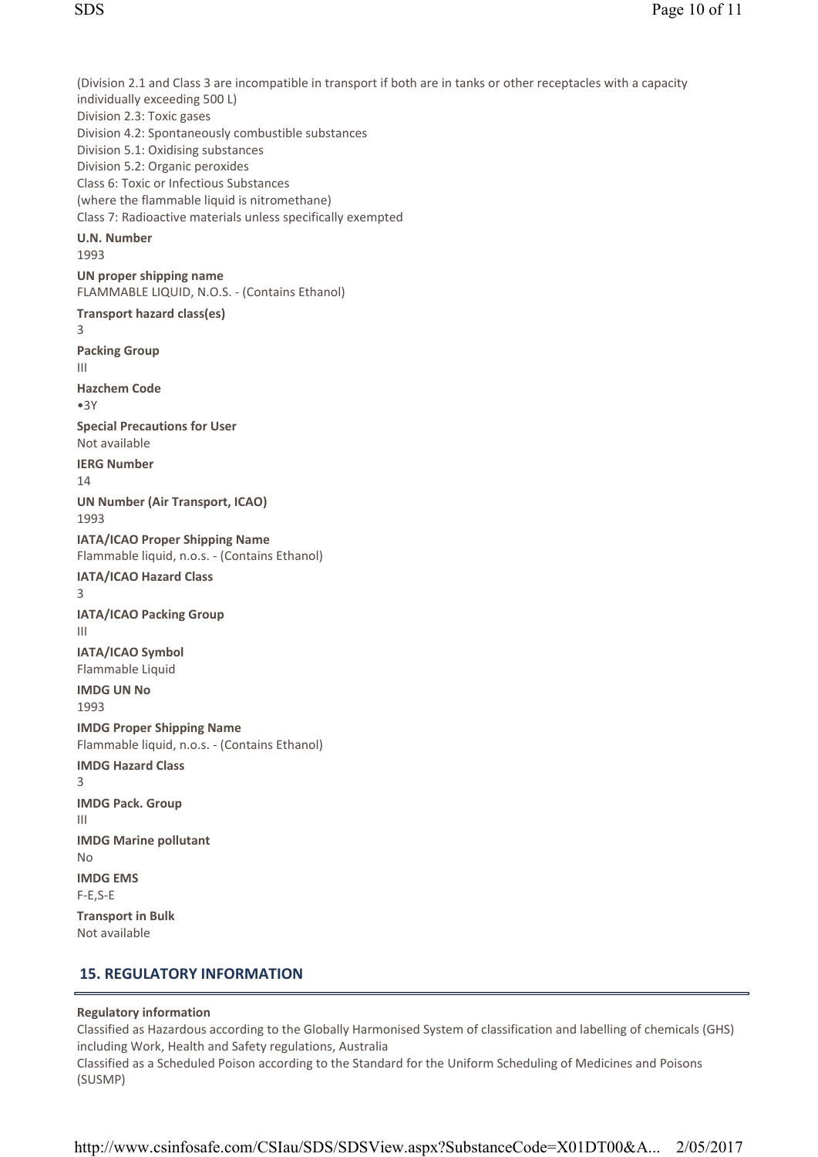(Division 2.1 and Class 3 are incompatible in transport if both are in tanks or other receptacles with a capacity individually exceeding 500 L) Division 2.3: Toxic gases Division 4.2: Spontaneously combustible substances Division 5.1: Oxidising substances Division 5.2: Organic peroxides Class 6: Toxic or Infectious Substances (where the flammable liquid is nitromethane) Class 7: Radioactive materials unless specifically exempted U.N. Number 1993 UN proper shipping name FLAMMABLE LIQUID, N. O. S. - (Contains Ethanol) Transport hazard class(es) 3 Packing Group III Hazchem Code •3Y Special Precautions for User Not available IERG Number 14 UN Number (Air Transport, ICAO) 1993 IATA/ICAO Proper Shipping Name Flammable liquid, n. o. s. - (Contains Ethanol) IATA/ICAO Hazard Class 3 IATA/ICAO Packing Group III IATA/ICAO Symbol Flammable Liquid IMDG UN No 1993 IMDG Proper Shipping Name Flammable liquid, n. o. s. - (Contains Ethanol) IMDG Hazard Class 3 **IMDG Pack. Group** III IMDG Marine pollutant  $N<sub>0</sub>$ IMDG EMS  $F-E$ ,  $S-E$ Transport in Bulk Not available

### 15. REGULATORY INFORMATION

### Regulatory information

Classified as Hazardous according to the Globally Harmonised System of classification and labelling of chemicals (GHS) including Work, Health and Safety regulations, Australia Classified as a Scheduled Poison according to the Standard for the Uniform Scheduling of Medicines and Poisons (SUSMP)